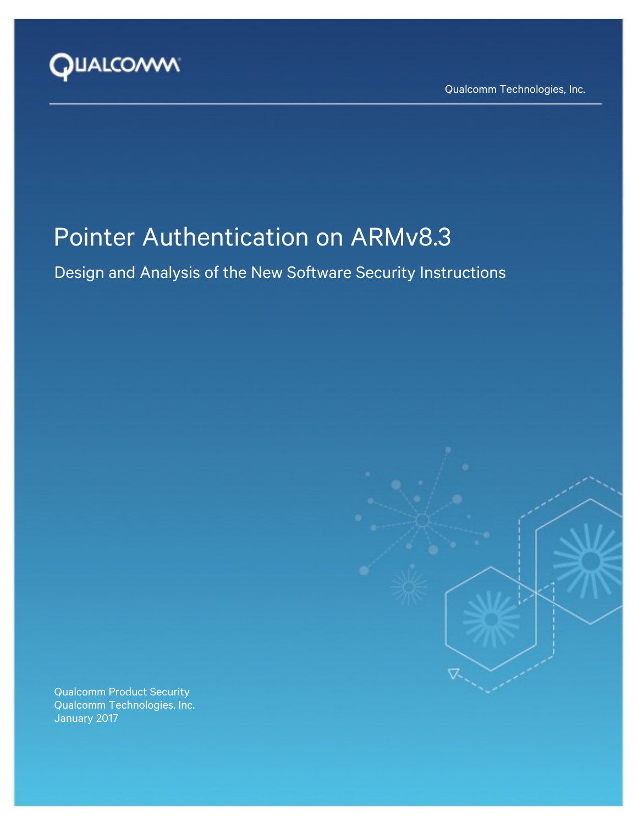

Qualcomm Technologies, Inc.

# Pointer Authentication on ARMv8.3

Design and Analysis of the New Software Security Instructions

Qualcomm Product Security Qualcomm Technologies, Inc. January 2017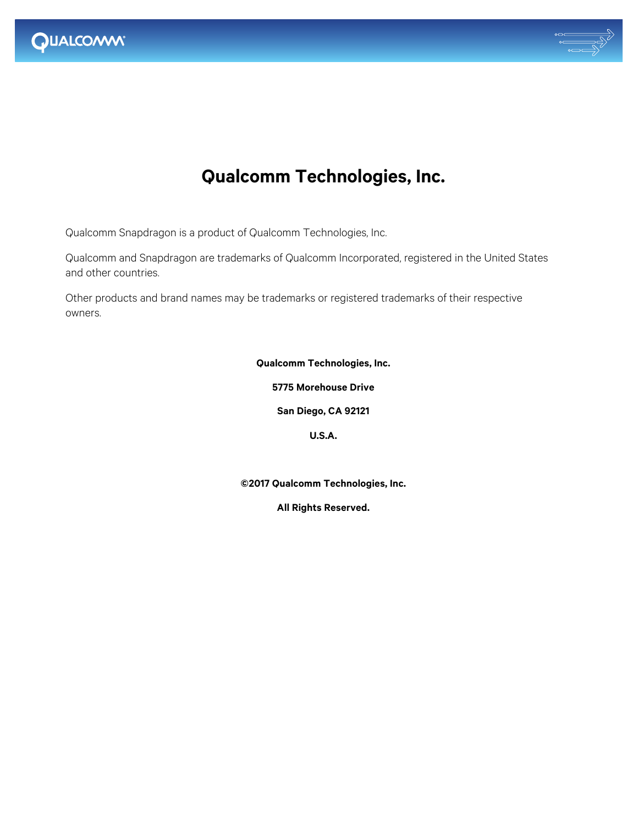



## **Qualcomm Technologies, Inc.**

Qualcomm Snapdragon is a product of Qualcomm Technologies, Inc.

Qualcomm and Snapdragon are trademarks of Qualcomm Incorporated, registered in the United States and other countries.

Other products and brand names may be trademarks or registered trademarks of their respective owners.

**Qualcomm Technologies, Inc.**

**5775 Morehouse Drive**

**San Diego, CA 92121**

**U.S.A.**

**©2017 Qualcomm Technologies, Inc.**

**All Rights Reserved.**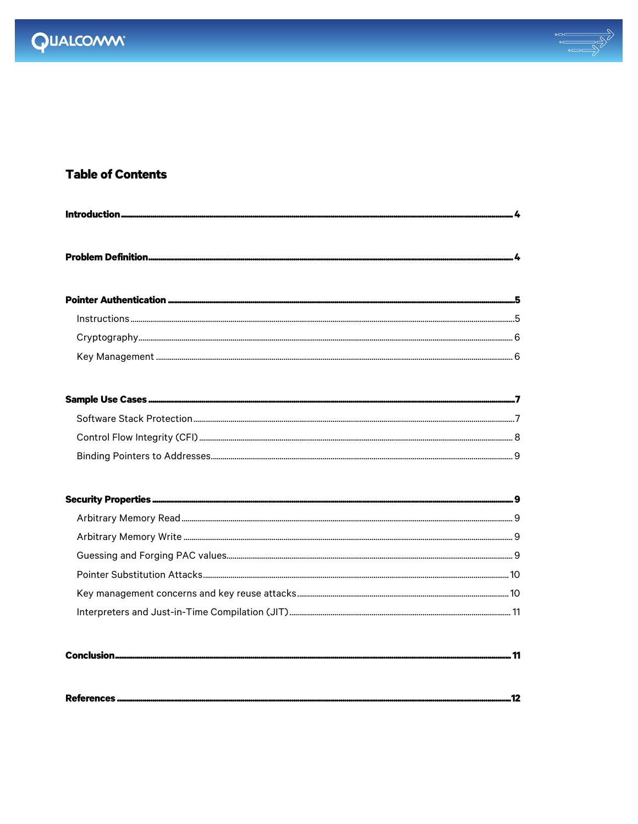



..................12

### **Table of Contents**

References.......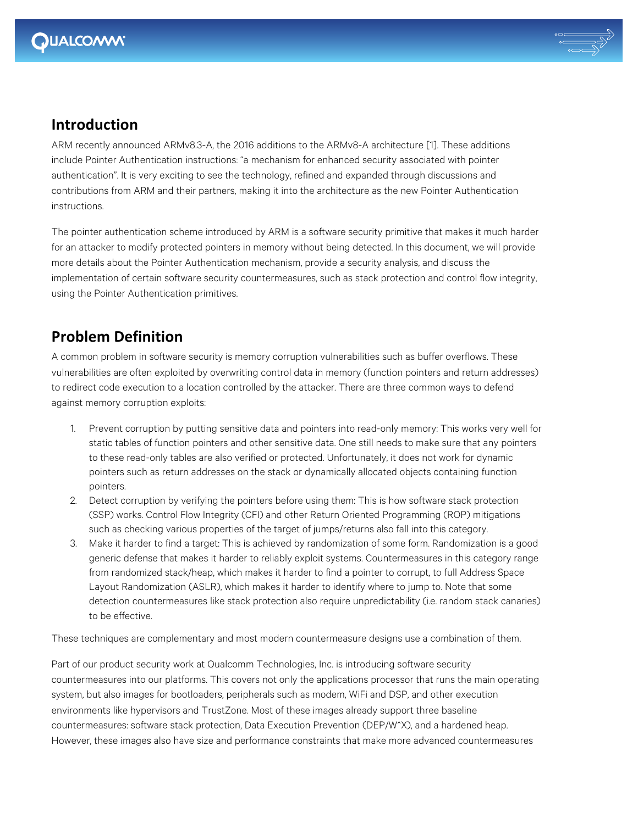

### **Introduction**

ARM recently announced ARMv8.3-A, the 2016 additions to the ARMv8-A architecture [1]. These additions include Pointer Authentication instructions: "a mechanism for enhanced security associated with pointer authentication". It is very exciting to see the technology, refined and expanded through discussions and contributions from ARM and their partners, making it into the architecture as the new Pointer Authentication instructions.

The pointer authentication scheme introduced by ARM is a software security primitive that makes it much harder for an attacker to modify protected pointers in memory without being detected. In this document, we will provide more details about the Pointer Authentication mechanism, provide a security analysis, and discuss the implementation of certain software security countermeasures, such as stack protection and control flow integrity, using the Pointer Authentication primitives.

## **Problem Definition**

A common problem in software security is memory corruption vulnerabilities such as buffer overflows. These vulnerabilities are often exploited by overwriting control data in memory (function pointers and return addresses) to redirect code execution to a location controlled by the attacker. There are three common ways to defend against memory corruption exploits:

- 1. Prevent corruption by putting sensitive data and pointers into read-only memory: This works very well for static tables of function pointers and other sensitive data. One still needs to make sure that any pointers to these read-only tables are also verified or protected. Unfortunately, it does not work for dynamic pointers such as return addresses on the stack or dynamically allocated objects containing function pointers.
- 2. Detect corruption by verifying the pointers before using them: This is how software stack protection (SSP) works. Control Flow Integrity (CFI) and other Return Oriented Programming (ROP) mitigations such as checking various properties of the target of jumps/returns also fall into this category.
- 3. Make it harder to find a target: This is achieved by randomization of some form. Randomization is a good generic defense that makes it harder to reliably exploit systems. Countermeasures in this category range from randomized stack/heap, which makes it harder to find a pointer to corrupt, to full Address Space Layout Randomization (ASLR), which makes it harder to identify where to jump to. Note that some detection countermeasures like stack protection also require unpredictability (i.e. random stack canaries) to be effective.

These techniques are complementary and most modern countermeasure designs use a combination of them.

Part of our product security work at Qualcomm Technologies, Inc. is introducing software security countermeasures into our platforms. This covers not only the applications processor that runs the main operating system, but also images for bootloaders, peripherals such as modem, WiFi and DSP, and other execution environments like hypervisors and TrustZone. Most of these images already support three baseline countermeasures: software stack protection, Data Execution Prevention (DEP/W^X), and a hardened heap. However, these images also have size and performance constraints that make more advanced countermeasures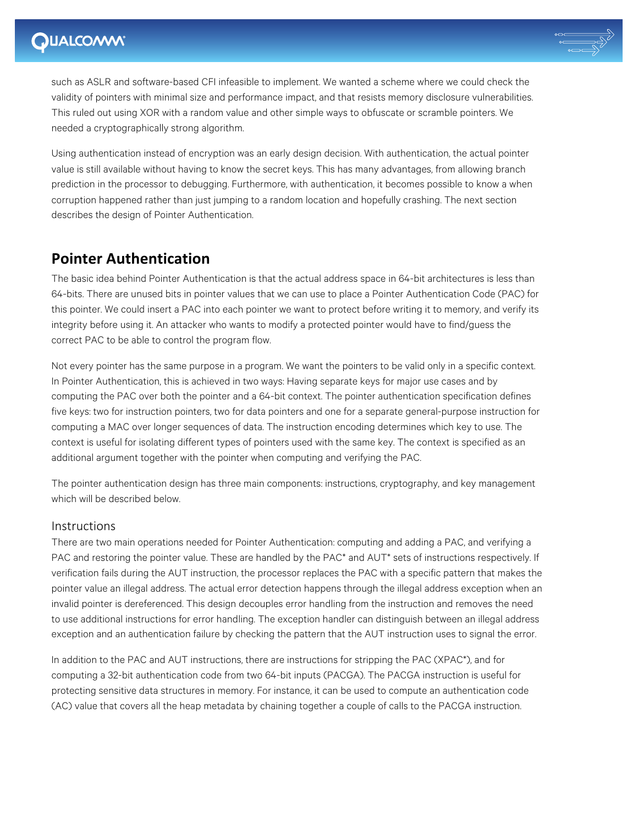

such as ASLR and software-based CFI infeasible to implement. We wanted a scheme where we could check the validity of pointers with minimal size and performance impact, and that resists memory disclosure vulnerabilities. This ruled out using XOR with a random value and other simple ways to obfuscate or scramble pointers. We needed a cryptographically strong algorithm.

Using authentication instead of encryption was an early design decision. With authentication, the actual pointer value is still available without having to know the secret keys. This has many advantages, from allowing branch prediction in the processor to debugging. Furthermore, with authentication, it becomes possible to know a when corruption happened rather than just jumping to a random location and hopefully crashing. The next section describes the design of Pointer Authentication.

## **Pointer Authentication**

The basic idea behind Pointer Authentication is that the actual address space in 64-bit architectures is less than 64-bits. There are unused bits in pointer values that we can use to place a Pointer Authentication Code (PAC) for this pointer. We could insert a PAC into each pointer we want to protect before writing it to memory, and verify its integrity before using it. An attacker who wants to modify a protected pointer would have to find/guess the correct PAC to be able to control the program flow.

Not every pointer has the same purpose in a program. We want the pointers to be valid only in a specific context. In Pointer Authentication, this is achieved in two ways: Having separate keys for major use cases and by computing the PAC over both the pointer and a 64-bit context. The pointer authentication specification defines five keys: two for instruction pointers, two for data pointers and one for a separate general-purpose instruction for computing a MAC over longer sequences of data. The instruction encoding determines which key to use. The context is useful for isolating different types of pointers used with the same key. The context is specified as an additional argument together with the pointer when computing and verifying the PAC.

The pointer authentication design has three main components: instructions, cryptography, and key management which will be described below.

#### Instructions

There are two main operations needed for Pointer Authentication: computing and adding a PAC, and verifying a PAC and restoring the pointer value. These are handled by the PAC<sup>\*</sup> and AUT<sup>\*</sup> sets of instructions respectively. If verification fails during the AUT instruction, the processor replaces the PAC with a specific pattern that makes the pointer value an illegal address. The actual error detection happens through the illegal address exception when an invalid pointer is dereferenced. This design decouples error handling from the instruction and removes the need to use additional instructions for error handling. The exception handler can distinguish between an illegal address exception and an authentication failure by checking the pattern that the AUT instruction uses to signal the error.

In addition to the PAC and AUT instructions, there are instructions for stripping the PAC (XPAC\*), and for computing a 32-bit authentication code from two 64-bit inputs (PACGA). The PACGA instruction is useful for protecting sensitive data structures in memory. For instance, it can be used to compute an authentication code (AC) value that covers all the heap metadata by chaining together a couple of calls to the PACGA instruction.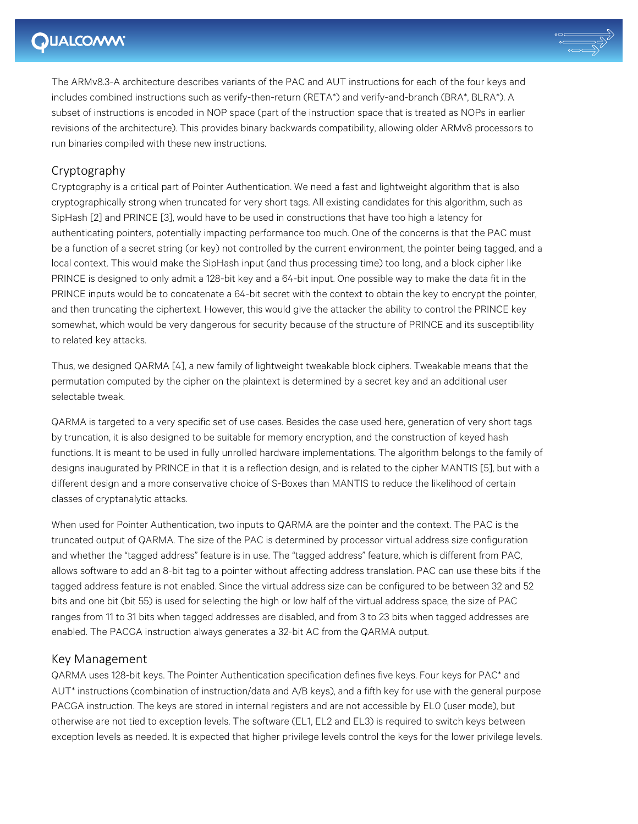## **DUALCOMM®**



The ARMv8.3-A architecture describes variants of the PAC and AUT instructions for each of the four keys and includes combined instructions such as verify-then-return (RETA\*) and verify-and-branch (BRA\*, BLRA\*). A subset of instructions is encoded in NOP space (part of the instruction space that is treated as NOPs in earlier revisions of the architecture). This provides binary backwards compatibility, allowing older ARMv8 processors to run binaries compiled with these new instructions.

### Cryptography

Cryptography is a critical part of Pointer Authentication. We need a fast and lightweight algorithm that is also cryptographically strong when truncated for very short tags. All existing candidates for this algorithm, such as SipHash [2] and PRINCE [3], would have to be used in constructions that have too high a latency for authenticating pointers, potentially impacting performance too much. One of the concerns is that the PAC must be a function of a secret string (or key) not controlled by the current environment, the pointer being tagged, and a local context. This would make the SipHash input (and thus processing time) too long, and a block cipher like PRINCE is designed to only admit a 128-bit key and a 64-bit input. One possible way to make the data fit in the PRINCE inputs would be to concatenate a 64-bit secret with the context to obtain the key to encrypt the pointer, and then truncating the ciphertext. However, this would give the attacker the ability to control the PRINCE key somewhat, which would be very dangerous for security because of the structure of PRINCE and its susceptibility to related key attacks.

Thus, we designed QARMA [4], a new family of lightweight tweakable block ciphers. Tweakable means that the permutation computed by the cipher on the plaintext is determined by a secret key and an additional user selectable tweak.

QARMA is targeted to a very specific set of use cases. Besides the case used here, generation of very short tags by truncation, it is also designed to be suitable for memory encryption, and the construction of keyed hash functions. It is meant to be used in fully unrolled hardware implementations. The algorithm belongs to the family of designs inaugurated by PRINCE in that it is a reflection design, and is related to the cipher MANTIS [5], but with a different design and a more conservative choice of S-Boxes than MANTIS to reduce the likelihood of certain classes of cryptanalytic attacks.

When used for Pointer Authentication, two inputs to QARMA are the pointer and the context. The PAC is the truncated output of QARMA. The size of the PAC is determined by processor virtual address size configuration and whether the "tagged address" feature is in use. The "tagged address" feature, which is different from PAC, allows software to add an 8-bit tag to a pointer without affecting address translation. PAC can use these bits if the tagged address feature is not enabled. Since the virtual address size can be configured to be between 32 and 52 bits and one bit (bit 55) is used for selecting the high or low half of the virtual address space, the size of PAC ranges from 11 to 31 bits when tagged addresses are disabled, and from 3 to 23 bits when tagged addresses are enabled. The PACGA instruction always generates a 32-bit AC from the QARMA output.

#### Key Management

QARMA uses 128-bit keys. The Pointer Authentication specification defines five keys. Four keys for PAC\* and AUT\* instructions (combination of instruction/data and A/B keys), and a fifth key for use with the general purpose PACGA instruction. The keys are stored in internal registers and are not accessible by EL0 (user mode), but otherwise are not tied to exception levels. The software (EL1, EL2 and EL3) is required to switch keys between exception levels as needed. It is expected that higher privilege levels control the keys for the lower privilege levels.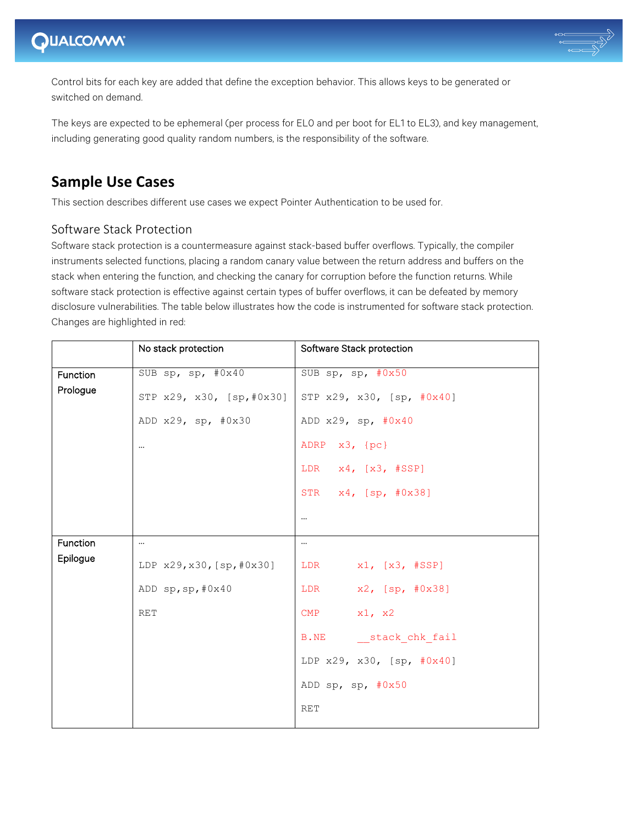## QUALCOMM®



Control bits for each key are added that define the exception behavior. This allows keys to be generated or switched on demand.

The keys are expected to be ephemeral (per process for EL0 and per boot for EL1 to EL3), and key management, including generating good quality random numbers, is the responsibility of the software.

### **Sample Use Cases**

This section describes different use cases we expect Pointer Authentication to be used for.

### Software Stack Protection

Software stack protection is a countermeasure against stack-based buffer overflows. Typically, the compiler instruments selected functions, placing a random canary value between the return address and buffers on the stack when entering the function, and checking the canary for corruption before the function returns. While software stack protection is effective against certain types of buffer overflows, it can be defeated by memory disclosure vulnerabilities. The table below illustrates how the code is instrumented for software stack protection. Changes are highlighted in red:

|                 | No stack protection       | Software Stack protection         |
|-----------------|---------------------------|-----------------------------------|
| <b>Function</b> | SUB sp, sp, #0x40         | SUB sp, sp, $#0x50$               |
| Prologue        | STP x29, x30, [sp,#0x30]  | STP x29, x30, [sp, #0x40]         |
|                 | ADD x29, sp, #0x30        | ADD $x29$ , sp, $\#0x40$          |
|                 | $\cdots$                  | ADRP x3, {pc}                     |
|                 |                           | LDR $x4$ , $[x3, #SSP]$           |
|                 |                           | STR x4, [sp, #0x38]               |
|                 |                           | $\cdots$                          |
| Function        | $\cdots$                  | $\cdots$                          |
| Epilogue        | LDP x29, x30, [sp, #0x30] | LDR $x1, [x3, #SSP]$              |
|                 | ADD sp, sp, #0x40         | LDR x2, [sp, #0x38]               |
|                 | <b>RET</b>                | CMP $x1, x2$                      |
|                 |                           | B.NE stack chk fail               |
|                 |                           | LDP $x29$ , $x30$ , $[sp, #0x40]$ |
|                 |                           | ADD sp, sp, $\#0x50$              |
|                 |                           | <b>RET</b>                        |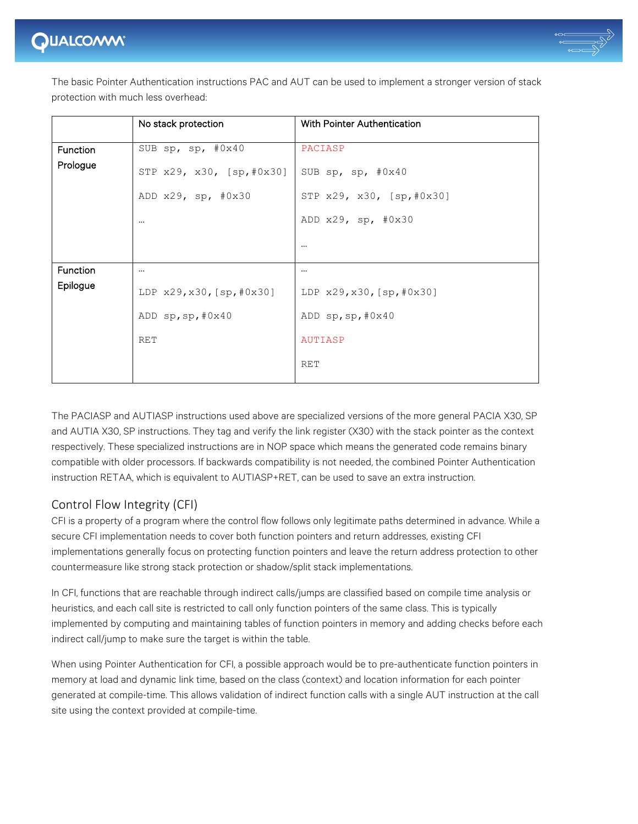

The basic Pointer Authentication instructions PAC and AUT can be used to implement a stronger version of stack protection with much less overhead:

|                 | No stack protection       | <b>With Pointer Authentication</b> |
|-----------------|---------------------------|------------------------------------|
| <b>Function</b> | SUB sp, sp, #0x40         | PACIASP                            |
| Prologue        | STP x29, x30, [sp,#0x30]  | SUB sp, sp, $#0x40$                |
|                 | ADD x29, sp, #0x30        | STP x29, x30, [sp,#0x30]           |
|                 | $\cdots$                  | ADD $x29$ , sp, $#0x30$            |
|                 |                           | $\cdots$                           |
| Function        | $\cdots$                  | $\cdots$                           |
| Epilogue        | LDP x29, x30, [sp, #0x30] | LDP x29, x30, [sp, #0x30]          |
|                 | ADD sp, sp, #0x40         | ADD sp, sp, #0x40                  |
|                 | <b>RET</b>                | AUTIASP                            |
|                 |                           | <b>RET</b>                         |

The PACIASP and AUTIASP instructions used above are specialized versions of the more general PACIA X30, SP and AUTIA X30, SP instructions. They tag and verify the link register (X30) with the stack pointer as the context respectively. These specialized instructions are in NOP space which means the generated code remains binary compatible with older processors. If backwards compatibility is not needed, the combined Pointer Authentication instruction RETAA, which is equivalent to AUTIASP+RET, can be used to save an extra instruction.

### Control Flow Integrity (CFI)

CFI is a property of a program where the control flow follows only legitimate paths determined in advance. While a secure CFI implementation needs to cover both function pointers and return addresses, existing CFI implementations generally focus on protecting function pointers and leave the return address protection to other countermeasure like strong stack protection or shadow/split stack implementations.

In CFI, functions that are reachable through indirect calls/jumps are classified based on compile time analysis or heuristics, and each call site is restricted to call only function pointers of the same class. This is typically implemented by computing and maintaining tables of function pointers in memory and adding checks before each indirect call/jump to make sure the target is within the table.

When using Pointer Authentication for CFI, a possible approach would be to pre-authenticate function pointers in memory at load and dynamic link time, based on the class (context) and location information for each pointer generated at compile-time. This allows validation of indirect function calls with a single AUT instruction at the call site using the context provided at compile-time.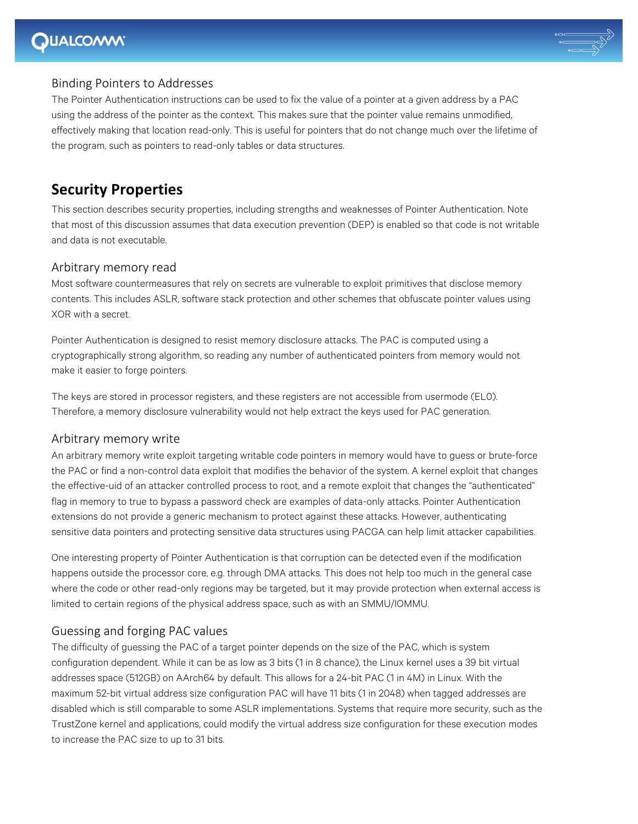## **DUALCOMM**



### **Binding Pointers to Addresses**

The Pointer Authentication instructions can be used to fix the value of a pointer at a given address by a PAC using the address of the pointer as the context. This makes sure that the pointer value remains unmodified, effectively making that location read-only. This is useful for pointers that do not change much over the lifetime of the program, such as pointers to read-only tables or data structures.

### **Security Properties**

This section describes security properties, including strengths and weaknesses of Pointer Authentication. Note that most of this discussion assumes that data execution prevention (DEP) is enabled so that code is not writable and data is not executable.

### Arbitrary memory read

Most software countermeasures that rely on secrets are vulnerable to exploit primitives that disclose memory contents. This includes ASLR, software stack protection and other schemes that obfuscate pointer values using XOR with a secret.

Pointer Authentication is designed to resist memory disclosure attacks. The PAC is computed using a cryptographically strong algorithm, so reading any number of authenticated pointers from memory would not make it easier to forge pointers.

The keys are stored in processor registers, and these registers are not accessible from usermode (EL0). Therefore, a memory disclosure vulnerability would not help extract the keys used for PAC generation.

#### Arbitrary memory write

An arbitrary memory write exploit targeting writable code pointers in memory would have to guess or brute-force the PAC or find a non-control data exploit that modifies the behavior of the system. A kernel exploit that changes the effective-uid of an attacker controlled process to root, and a remote exploit that changes the "authenticated" flag in memory to true to bypass a password check are examples of data-only attacks. Pointer Authentication extensions do not provide a generic mechanism to protect against these attacks. However, authenticating sensitive data pointers and protecting sensitive data structures using PACGA can help limit attacker capabilities.

One interesting property of Pointer Authentication is that corruption can be detected even if the modification happens outside the processor core, e.g. through DMA attacks. This does not help too much in the general case where the code or other read-only regions may be targeted, but it may provide protection when external access is limited to certain regions of the physical address space, such as with an SMMU/IOMMU.

#### Guessing and forging PAC values

The difficulty of guessing the PAC of a target pointer depends on the size of the PAC, which is system configuration dependent. While it can be as low as 3 bits (1 in 8 chance), the Linux kernel uses a 39 bit virtual addresses space (512GB) on AArch64 by default. This allows for a 24-bit PAC (1 in 4M) in Linux. With the maximum 52-bit virtual address size configuration PAC will have 11 bits (1 in 2048) when tagged addresses are disabled which is still comparable to some ASLR implementations. Systems that require more security, such as the TrustZone kernel and applications, could modify the virtual address size configuration for these execution modes to increase the PAC size to up to 31 bits.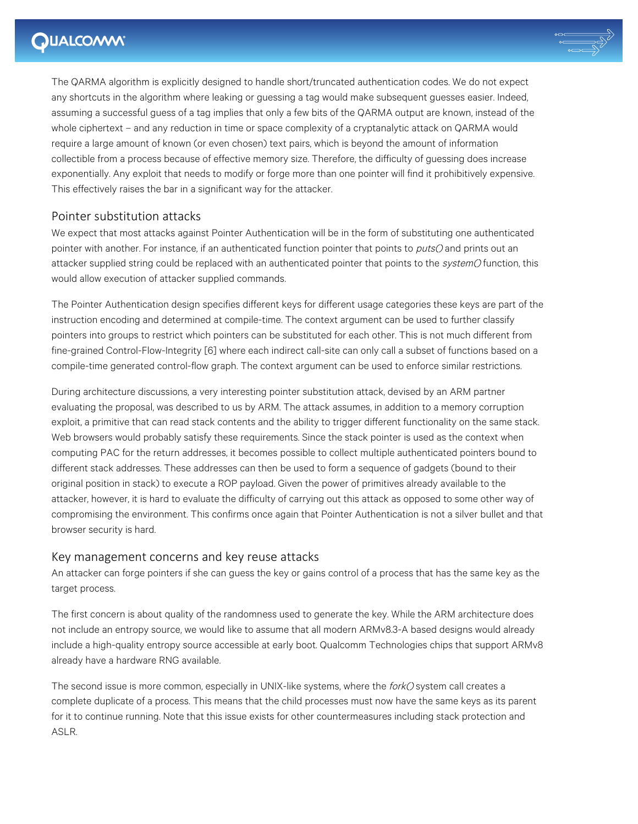## **QUALCOMM®**



The QARMA algorithm is explicitly designed to handle short/truncated authentication codes. We do not expect any shortcuts in the algorithm where leaking or guessing a tag would make subsequent guesses easier. Indeed, assuming a successful guess of a tag implies that only a few bits of the QARMA output are known, instead of the whole ciphertext – and any reduction in time or space complexity of a cryptanalytic attack on QARMA would require a large amount of known (or even chosen) text pairs, which is beyond the amount of information collectible from a process because of effective memory size. Therefore, the difficulty of guessing does increase exponentially. Any exploit that needs to modify or forge more than one pointer will find it prohibitively expensive. This effectively raises the bar in a significant way for the attacker.

### Pointer substitution attacks

We expect that most attacks against Pointer Authentication will be in the form of substituting one authenticated pointer with another. For instance, if an authenticated function pointer that points to *puts()* and prints out an attacker supplied string could be replaced with an authenticated pointer that points to the system() function, this would allow execution of attacker supplied commands.

The Pointer Authentication design specifies different keys for different usage categories these keys are part of the instruction encoding and determined at compile-time. The context argument can be used to further classify pointers into groups to restrict which pointers can be substituted for each other. This is not much different from fine-grained Control-Flow-Integrity [6] where each indirect call-site can only call a subset of functions based on a compile-time generated control-flow graph. The context argument can be used to enforce similar restrictions.

During architecture discussions, a very interesting pointer substitution attack, devised by an ARM partner evaluating the proposal, was described to us by ARM. The attack assumes, in addition to a memory corruption exploit, a primitive that can read stack contents and the ability to trigger different functionality on the same stack. Web browsers would probably satisfy these requirements. Since the stack pointer is used as the context when computing PAC for the return addresses, it becomes possible to collect multiple authenticated pointers bound to different stack addresses. These addresses can then be used to form a sequence of gadgets (bound to their original position in stack) to execute a ROP payload. Given the power of primitives already available to the attacker, however, it is hard to evaluate the difficulty of carrying out this attack as opposed to some other way of compromising the environment. This confirms once again that Pointer Authentication is not a silver bullet and that browser security is hard.

#### Key management concerns and key reuse attacks

An attacker can forge pointers if she can guess the key or gains control of a process that has the same key as the target process.

The first concern is about quality of the randomness used to generate the key. While the ARM architecture does not include an entropy source, we would like to assume that all modern ARMv8.3-A based designs would already include a high-quality entropy source accessible at early boot. Qualcomm Technologies chips that support ARMv8 already have a hardware RNG available.

The second issue is more common, especially in UNIX-like systems, where the fork() system call creates a complete duplicate of a process. This means that the child processes must now have the same keys as its parent for it to continue running. Note that this issue exists for other countermeasures including stack protection and ASLR.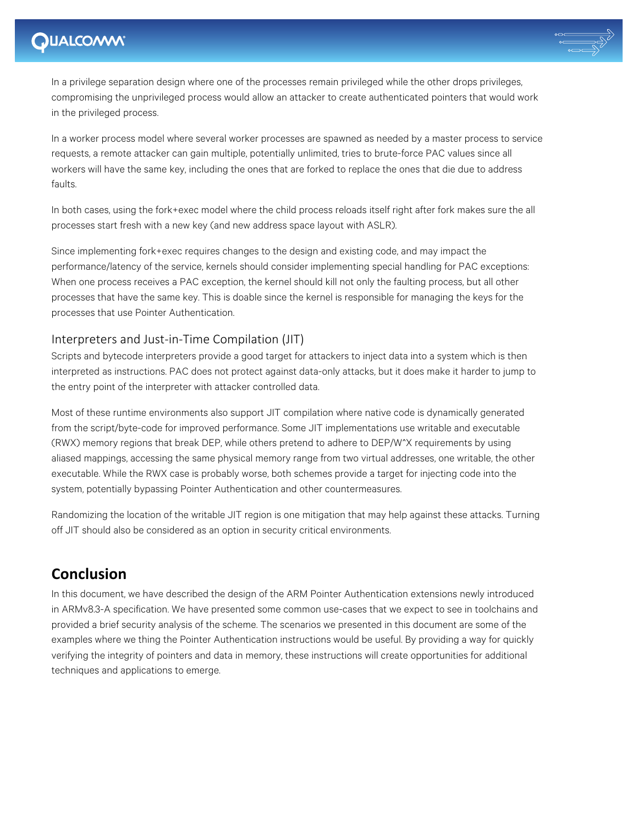

In a privilege separation design where one of the processes remain privileged while the other drops privileges, compromising the unprivileged process would allow an attacker to create authenticated pointers that would work in the privileged process.

In a worker process model where several worker processes are spawned as needed by a master process to service requests, a remote attacker can gain multiple, potentially unlimited, tries to brute-force PAC values since all workers will have the same key, including the ones that are forked to replace the ones that die due to address faults.

In both cases, using the fork+exec model where the child process reloads itself right after fork makes sure the all processes start fresh with a new key (and new address space layout with ASLR).

Since implementing fork+exec requires changes to the design and existing code, and may impact the performance/latency of the service, kernels should consider implementing special handling for PAC exceptions: When one process receives a PAC exception, the kernel should kill not only the faulting process, but all other processes that have the same key. This is doable since the kernel is responsible for managing the keys for the processes that use Pointer Authentication.

### Interpreters and Just-in-Time Compilation (JIT)

Scripts and bytecode interpreters provide a good target for attackers to inject data into a system which is then interpreted as instructions. PAC does not protect against data-only attacks, but it does make it harder to jump to the entry point of the interpreter with attacker controlled data.

Most of these runtime environments also support JIT compilation where native code is dynamically generated from the script/byte-code for improved performance. Some JIT implementations use writable and executable (RWX) memory regions that break DEP, while others pretend to adhere to DEP/W^X requirements by using aliased mappings, accessing the same physical memory range from two virtual addresses, one writable, the other executable. While the RWX case is probably worse, both schemes provide a target for injecting code into the system, potentially bypassing Pointer Authentication and other countermeasures.

Randomizing the location of the writable JIT region is one mitigation that may help against these attacks. Turning off JIT should also be considered as an option in security critical environments.

### **Conclusion**

In this document, we have described the design of the ARM Pointer Authentication extensions newly introduced in ARMv8.3-A specification. We have presented some common use-cases that we expect to see in toolchains and provided a brief security analysis of the scheme. The scenarios we presented in this document are some of the examples where we thing the Pointer Authentication instructions would be useful. By providing a way for quickly verifying the integrity of pointers and data in memory, these instructions will create opportunities for additional techniques and applications to emerge.